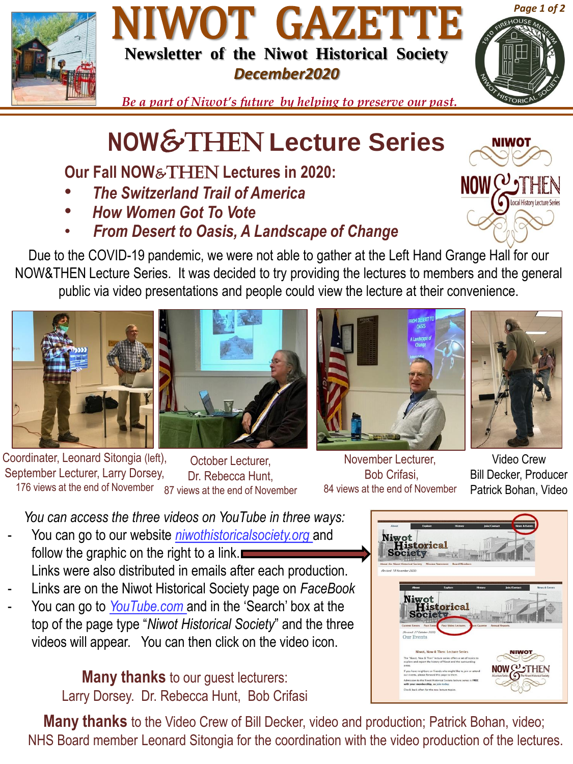

## NIWOT GAZETTE **Newsletter of the Niwot Historical Society** *December2020*



*Be a part of Niwot's future by helping to preserve our past.*

## **NOW**&Then **Lecture Series**

**Our Fall NOW**&THEN **Lectures in 2020:**

- *The Switzerland Trail of America*
- *How Women Got To Vote*
- *From Desert to Oasis, A Landscape of Change*

Due to the COVID-19 pandemic, we were not able to gather at the Left Hand Grange Hall for our NOW&THEN Lecture Series. It was decided to try providing the lectures to members and the general public via video presentations and people could view the lecture at their convenience.









Coordinater, Leonard Sitongia (left), September Lecturer, Larry Dorsey, 176 views at the end of November 87 views at the end of November October Lecturer, Dr. Rebecca Hunt,

November Lecturer, Bob Crifasi, 84 views at the end of November

Video Crew Bill Decker, Producer Patrick Bohan, Video

*You can access the three videos on YouTube in three ways:*

- You can go to our website *niwothistoricalsociety.org* and follow the graphic on the right to a link. Links were also distributed in emails after each production.
- Links are on the Niwot Historical Society page on *FaceBook*
- You can go to *YouTube.com* and in the 'Search' box at the top of the page type "*Niwot Historical Society*" and the three videos will appear. You can then click on the video icon.

**Many thanks** to our guest lecturers: Larry Dorsey. Dr. Rebecca Hunt, Bob Crifasi

**Many thanks** to the Video Crew of Bill Decker, video and production; Patrick Bohan, video; NHS Board member Leonard Sitongia for the coordination with the video production of the lectures.